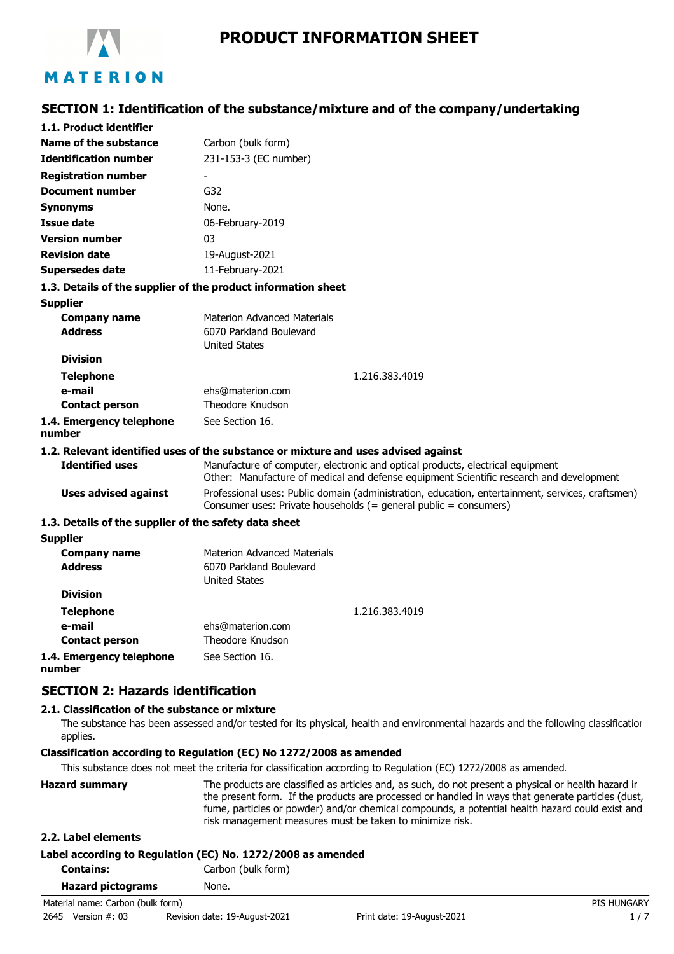

# **SECTION 1: Identification of the substance/mixture and of the company/undertaking**

| 1.1. Product identifier                               |                                                                                                                                                                           |
|-------------------------------------------------------|---------------------------------------------------------------------------------------------------------------------------------------------------------------------------|
| Name of the substance                                 | Carbon (bulk form)                                                                                                                                                        |
| <b>Identification number</b>                          | 231-153-3 (EC number)                                                                                                                                                     |
| <b>Registration number</b>                            |                                                                                                                                                                           |
| <b>Document number</b>                                | G <sub>32</sub>                                                                                                                                                           |
| <b>Synonyms</b>                                       | None.                                                                                                                                                                     |
| Issue date                                            | 06-February-2019                                                                                                                                                          |
| <b>Version number</b>                                 | 03                                                                                                                                                                        |
| <b>Revision date</b>                                  | 19-August-2021                                                                                                                                                            |
| Supersedes date                                       | 11-February-2021                                                                                                                                                          |
|                                                       | 1.3. Details of the supplier of the product information sheet                                                                                                             |
| <b>Supplier</b>                                       |                                                                                                                                                                           |
| <b>Company name</b>                                   | <b>Materion Advanced Materials</b>                                                                                                                                        |
| <b>Address</b>                                        | 6070 Parkland Boulevard                                                                                                                                                   |
|                                                       | <b>United States</b>                                                                                                                                                      |
| <b>Division</b>                                       |                                                                                                                                                                           |
| <b>Telephone</b>                                      | 1.216.383.4019                                                                                                                                                            |
| e-mail                                                | ehs@materion.com                                                                                                                                                          |
| <b>Contact person</b>                                 | Theodore Knudson                                                                                                                                                          |
| 1.4. Emergency telephone<br>number                    | See Section 16.                                                                                                                                                           |
|                                                       | 1.2. Relevant identified uses of the substance or mixture and uses advised against                                                                                        |
| <b>Identified uses</b>                                | Manufacture of computer, electronic and optical products, electrical equipment<br>Other: Manufacture of medical and defense equipment Scientific research and development |
| <b>Uses advised against</b>                           | Professional uses: Public domain (administration, education, entertainment, services, craftsmen)<br>Consumer uses: Private households (= general public = consumers)      |
| 1.3. Details of the supplier of the safety data sheet |                                                                                                                                                                           |
| <b>Supplier</b>                                       |                                                                                                                                                                           |
| <b>Company name</b>                                   | <b>Materion Advanced Materials</b>                                                                                                                                        |
| <b>Address</b>                                        | 6070 Parkland Boulevard                                                                                                                                                   |
|                                                       | <b>United States</b>                                                                                                                                                      |
| <b>Division</b>                                       |                                                                                                                                                                           |
| <b>Telephone</b>                                      | 1.216.383.4019                                                                                                                                                            |
| e-mail                                                | ehs@materion.com                                                                                                                                                          |
| <b>Contact person</b>                                 | Theodore Knudson                                                                                                                                                          |
| 1.4. Emergency telephone                              | See Section 16.                                                                                                                                                           |

**1.4. Emergency telephone number**

### **SECTION 2: Hazards identification**

### **2.1. Classification of the substance or mixture**

The substance has been assessed and/or tested for its physical, health and environmental hazards and the following classification applies.

### **Classification according to Regulation (EC) No 1272/2008 as amended**

This substance does not meet the criteria for classification according to Regulation (EC) 1272/2008 as amended.

| <b>Hazard summary</b> | The products are classified as articles and, as such, do not present a physical or health hazard ir<br>the present form. If the products are processed or handled in ways that generate particles (dust,<br>fume, particles or powder) and/or chemical compounds, a potential health hazard could exist and<br>risk management measures must be taken to minimize risk. |
|-----------------------|-------------------------------------------------------------------------------------------------------------------------------------------------------------------------------------------------------------------------------------------------------------------------------------------------------------------------------------------------------------------------|
| 2.2. Label elements   |                                                                                                                                                                                                                                                                                                                                                                         |

|                  | Label according to Regulation (EC) No. 1272/2008 as amended |
|------------------|-------------------------------------------------------------|
| <b>Contains:</b> | Carbon (bulk form)                                          |

| <b>Hazard pictograms</b> | None. |
|--------------------------|-------|
|--------------------------|-------|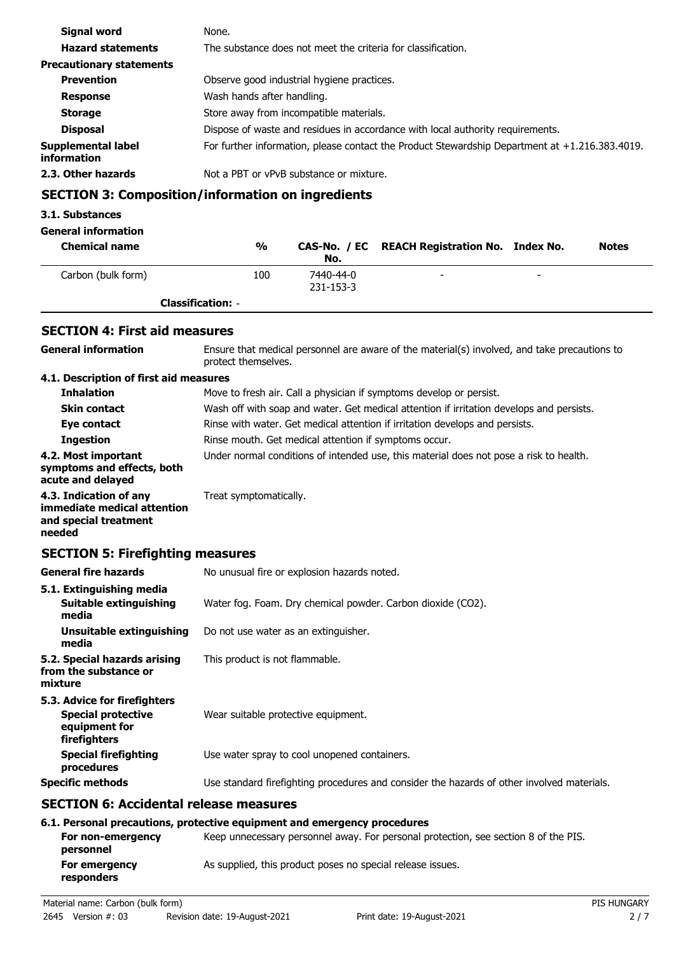| Signal word                       | None.                                                                                          |
|-----------------------------------|------------------------------------------------------------------------------------------------|
| <b>Hazard statements</b>          | The substance does not meet the criteria for classification.                                   |
| <b>Precautionary statements</b>   |                                                                                                |
| <b>Prevention</b>                 | Observe good industrial hygiene practices.                                                     |
| <b>Response</b>                   | Wash hands after handling.                                                                     |
| <b>Storage</b>                    | Store away from incompatible materials.                                                        |
| <b>Disposal</b>                   | Dispose of waste and residues in accordance with local authority requirements.                 |
| Supplemental label<br>information | For further information, please contact the Product Stewardship Department at +1.216.383.4019. |
| 2.3. Other hazards                | Not a PBT or vPvB substance or mixture.                                                        |

# **SECTION 3: Composition/information on ingredients**

### **3.1. Substances**

### **General information**

| <b>Chemical name</b> | %                        | No.                    | CAS-No. / EC REACH Registration No. Index No. |                          | <b>Notes</b> |
|----------------------|--------------------------|------------------------|-----------------------------------------------|--------------------------|--------------|
| Carbon (bulk form)   | 100                      | 7440-44-0<br>231-153-3 | -                                             | $\overline{\phantom{0}}$ |              |
|                      | <b>Classification: -</b> |                        |                                               |                          |              |

# **SECTION 4: First aid measures**

| <b>General information</b>                                                                 | Ensure that medical personnel are aware of the material(s) involved, and take precautions to<br>protect themselves. |
|--------------------------------------------------------------------------------------------|---------------------------------------------------------------------------------------------------------------------|
| 4.1. Description of first aid measures                                                     |                                                                                                                     |
| <b>Inhalation</b>                                                                          | Move to fresh air. Call a physician if symptoms develop or persist.                                                 |
| <b>Skin contact</b>                                                                        | Wash off with soap and water. Get medical attention if irritation develops and persists.                            |
| Eye contact                                                                                | Rinse with water. Get medical attention if irritation develops and persists.                                        |
| <b>Ingestion</b>                                                                           | Rinse mouth. Get medical attention if symptoms occur.                                                               |
| 4.2. Most important<br>symptoms and effects, both<br>acute and delayed                     | Under normal conditions of intended use, this material does not pose a risk to health.                              |
| 4.3. Indication of any<br>immediate medical attention<br>and special treatment<br>needed   | Treat symptomatically.                                                                                              |
| <b>SECTION 5: Firefighting measures</b>                                                    |                                                                                                                     |
| <b>General fire hazards</b>                                                                | No unusual fire or explosion hazards noted.                                                                         |
| 5.1. Extinguishing media<br>Suitable extinguishing<br>media                                | Water fog. Foam. Dry chemical powder. Carbon dioxide (CO2).                                                         |
| <b>Unsuitable extinguishing</b><br>media                                                   | Do not use water as an extinguisher.                                                                                |
| 5.2. Special hazards arising<br>from the substance or<br>mixture                           | This product is not flammable.                                                                                      |
| 5.3. Advice for firefighters<br><b>Special protective</b><br>equipment for<br>firefighters | Wear suitable protective equipment.                                                                                 |
| <b>Special firefighting</b><br>procedures                                                  | Use water spray to cool unopened containers.                                                                        |
| <b>Specific methods</b>                                                                    | Use standard firefighting procedures and consider the hazards of other involved materials.                          |
| <b>SECTION 6: Accidental release measures</b>                                              |                                                                                                                     |
|                                                                                            | 6.1. Personal precautions, protective equipment and emergency procedures                                            |
| For non-emergency<br>personnel                                                             | Keep unnecessary personnel away. For personal protection, see section 8 of the PIS.                                 |
| For emergency<br>responders                                                                | As supplied, this product poses no special release issues.                                                          |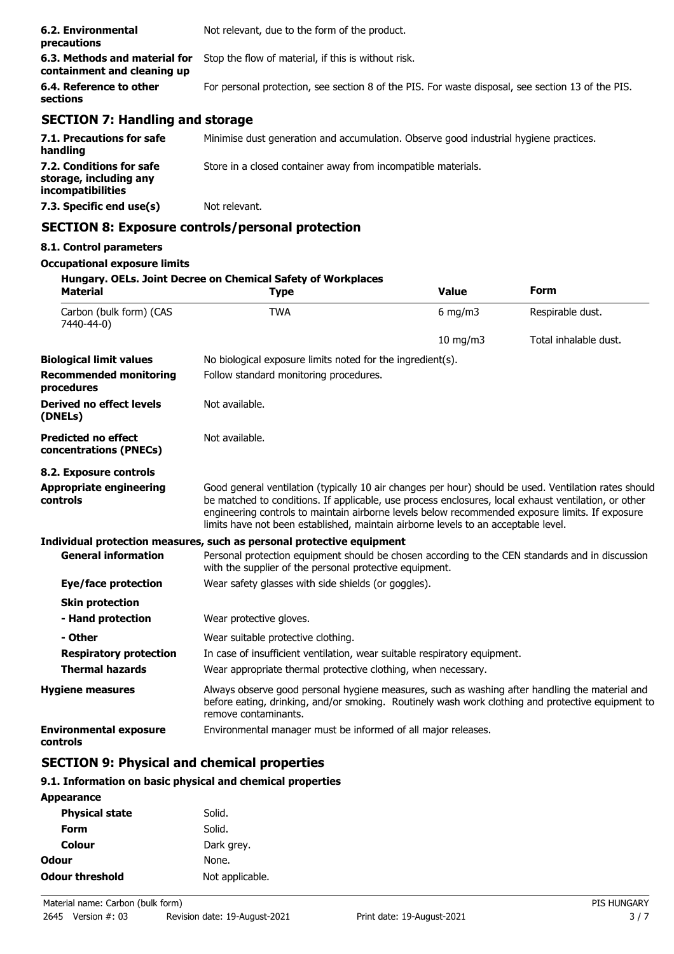| 6.2. Environmental<br>precautions                            | Not relevant, due to the form of the product.                                                     |
|--------------------------------------------------------------|---------------------------------------------------------------------------------------------------|
| 6.3. Methods and material for<br>containment and cleaning up | Stop the flow of material, if this is without risk.                                               |
| 6.4. Reference to other<br>sections                          | For personal protection, see section 8 of the PIS. For waste disposal, see section 13 of the PIS. |
| <b>SECTION 7: Handling and storage</b>                       |                                                                                                   |
|                                                              |                                                                                                   |

| 7.1. Precautions for safe<br>handling                                   | Minimise dust generation and accumulation. Observe good industrial hygiene practices. |
|-------------------------------------------------------------------------|---------------------------------------------------------------------------------------|
| 7.2. Conditions for safe<br>storage, including any<br>incompatibilities | Store in a closed container away from incompatible materials.                         |
| 7.3. Specific end use(s)                                                | Not relevant.                                                                         |

# **SECTION 8: Exposure controls/personal protection**

### **8.1. Control parameters**

#### **Occupational exposure limits**

| <b>Material</b>                                      | Hungary. OELs. Joint Decree on Chemical Safety of Workplaces<br><b>Type</b>                                                                                                                                                                                                                                                                                                                            | <b>Value</b> | <b>Form</b>           |
|------------------------------------------------------|--------------------------------------------------------------------------------------------------------------------------------------------------------------------------------------------------------------------------------------------------------------------------------------------------------------------------------------------------------------------------------------------------------|--------------|-----------------------|
| Carbon (bulk form) (CAS<br>7440-44-0)                | <b>TWA</b>                                                                                                                                                                                                                                                                                                                                                                                             | $6$ mg/m $3$ | Respirable dust.      |
|                                                      |                                                                                                                                                                                                                                                                                                                                                                                                        | 10 mg/m3     | Total inhalable dust. |
| <b>Biological limit values</b>                       | No biological exposure limits noted for the ingredient(s).                                                                                                                                                                                                                                                                                                                                             |              |                       |
| <b>Recommended monitoring</b><br>procedures          | Follow standard monitoring procedures.                                                                                                                                                                                                                                                                                                                                                                 |              |                       |
| <b>Derived no effect levels</b><br>(DNELs)           | Not available.                                                                                                                                                                                                                                                                                                                                                                                         |              |                       |
| <b>Predicted no effect</b><br>concentrations (PNECs) | Not available.                                                                                                                                                                                                                                                                                                                                                                                         |              |                       |
| 8.2. Exposure controls                               |                                                                                                                                                                                                                                                                                                                                                                                                        |              |                       |
| <b>Appropriate engineering</b><br>controls           | Good general ventilation (typically 10 air changes per hour) should be used. Ventilation rates should<br>be matched to conditions. If applicable, use process enclosures, local exhaust ventilation, or other<br>engineering controls to maintain airborne levels below recommended exposure limits. If exposure<br>limits have not been established, maintain airborne levels to an acceptable level. |              |                       |
|                                                      | Individual protection measures, such as personal protective equipment                                                                                                                                                                                                                                                                                                                                  |              |                       |
| <b>General information</b>                           | Personal protection equipment should be chosen according to the CEN standards and in discussion<br>with the supplier of the personal protective equipment.                                                                                                                                                                                                                                             |              |                       |
| Eye/face protection                                  | Wear safety glasses with side shields (or goggles).                                                                                                                                                                                                                                                                                                                                                    |              |                       |
| <b>Skin protection</b>                               |                                                                                                                                                                                                                                                                                                                                                                                                        |              |                       |
| - Hand protection                                    | Wear protective gloves.                                                                                                                                                                                                                                                                                                                                                                                |              |                       |
| - Other                                              | Wear suitable protective clothing.                                                                                                                                                                                                                                                                                                                                                                     |              |                       |
| <b>Respiratory protection</b>                        | In case of insufficient ventilation, wear suitable respiratory equipment.                                                                                                                                                                                                                                                                                                                              |              |                       |
| <b>Thermal hazards</b>                               | Wear appropriate thermal protective clothing, when necessary.                                                                                                                                                                                                                                                                                                                                          |              |                       |
| <b>Hygiene measures</b>                              | Always observe good personal hygiene measures, such as washing after handling the material and<br>before eating, drinking, and/or smoking. Routinely wash work clothing and protective equipment to<br>remove contaminants.                                                                                                                                                                            |              |                       |
| <b>Environmental exposure</b><br>controls            | Environmental manager must be informed of all major releases.                                                                                                                                                                                                                                                                                                                                          |              |                       |

# **SECTION 9: Physical and chemical properties**

### **9.1. Information on basic physical and chemical properties**

| <b>Appearance</b>      |                 |
|------------------------|-----------------|
| <b>Physical state</b>  | Solid.          |
| Form                   | Solid.          |
| Colour                 | Dark grey.      |
| Odour                  | None.           |
| <b>Odour threshold</b> | Not applicable. |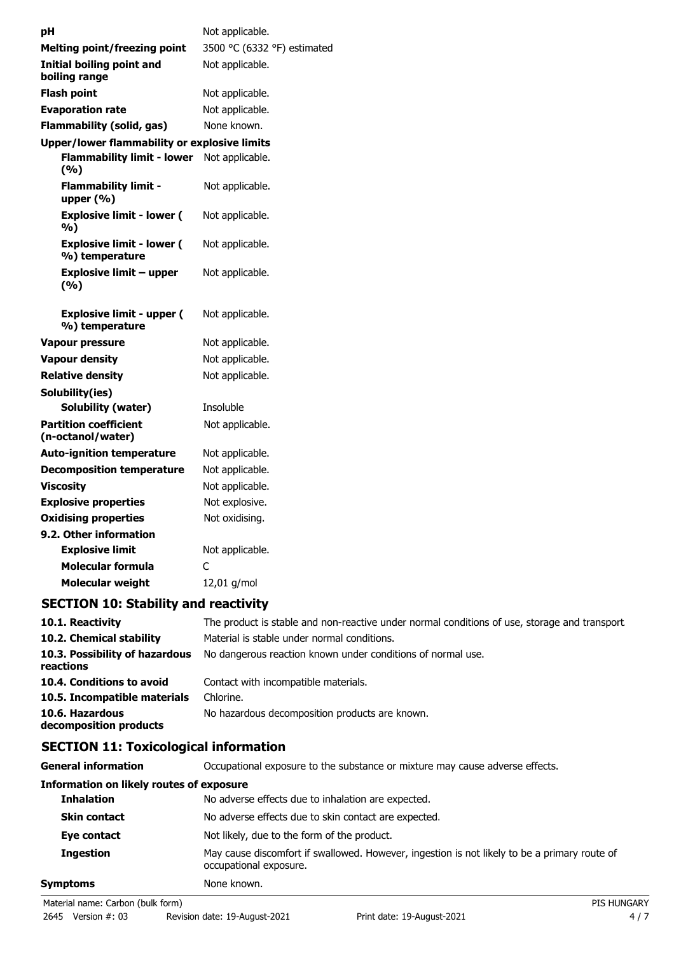| рH                                                 | Not applicable.             |
|----------------------------------------------------|-----------------------------|
| <b>Melting point/freezing point</b>                | 3500 °C (6332 °F) estimated |
| <b>Initial boiling point and</b><br>boiling range  | Not applicable.             |
| <b>Flash point</b>                                 | Not applicable.             |
| <b>Evaporation rate</b>                            | Not applicable.             |
| <b>Flammability (solid, gas)</b>                   | None known.                 |
| Upper/lower flammability or explosive limits       |                             |
| <b>Flammability limit - lower</b><br>(%)           | Not applicable.             |
| <b>Flammability limit -</b><br>upper $(% )$        | Not applicable.             |
| <b>Explosive limit - lower (</b><br>%)             | Not applicable.             |
| <b>Explosive limit - lower (</b><br>%) temperature | Not applicable.             |
| <b>Explosive limit - upper</b><br>(%)              | Not applicable.             |
|                                                    |                             |
| <b>Explosive limit - upper (</b><br>%) temperature | Not applicable.             |
| Vapour pressure                                    | Not applicable.             |
| <b>Vapour density</b>                              | Not applicable.             |
| <b>Relative density</b>                            | Not applicable.             |
| Solubility(ies)                                    |                             |
| <b>Solubility (water)</b>                          | Insoluble                   |
| <b>Partition coefficient</b><br>(n-octanol/water)  | Not applicable.             |
| <b>Auto-ignition temperature</b>                   | Not applicable.             |
| <b>Decomposition temperature</b>                   | Not applicable.             |
| Viscosity                                          | Not applicable.             |
| <b>Explosive properties</b>                        | Not explosive.              |
| <b>Oxidising properties</b>                        | Not oxidising.              |
| 9.2. Other information                             |                             |
| <b>Explosive limit</b>                             | Not applicable.             |
| Molecular formula                                  | C                           |

# **SECTION 10: Stability and reactivity**

| 10.1. Reactivity                            | The product is stable and non-reactive under normal conditions of use, storage and transport. |
|---------------------------------------------|-----------------------------------------------------------------------------------------------|
| 10.2. Chemical stability                    | Material is stable under normal conditions.                                                   |
| 10.3. Possibility of hazardous<br>reactions | No dangerous reaction known under conditions of normal use.                                   |
| 10.4. Conditions to avoid                   | Contact with incompatible materials.                                                          |
| 10.5. Incompatible materials                | Chlorine.                                                                                     |
| 10.6. Hazardous<br>decomposition products   | No hazardous decomposition products are known.                                                |

# **SECTION 11: Toxicological information**

| General information                             | Occupational exposure to the substance or mixture may cause adverse effects.                                           |
|-------------------------------------------------|------------------------------------------------------------------------------------------------------------------------|
| <b>Information on likely routes of exposure</b> |                                                                                                                        |
| <b>Inhalation</b>                               | No adverse effects due to inhalation are expected.                                                                     |
| <b>Skin contact</b>                             | No adverse effects due to skin contact are expected.                                                                   |
| Eye contact                                     | Not likely, due to the form of the product.                                                                            |
| <b>Ingestion</b>                                | May cause discomfort if swallowed. However, ingestion is not likely to be a primary route of<br>occupational exposure. |
| Symptoms                                        | None known.                                                                                                            |
| Material name: Carbon (bulk form)               | <b>PIS HUNGARY</b>                                                                                                     |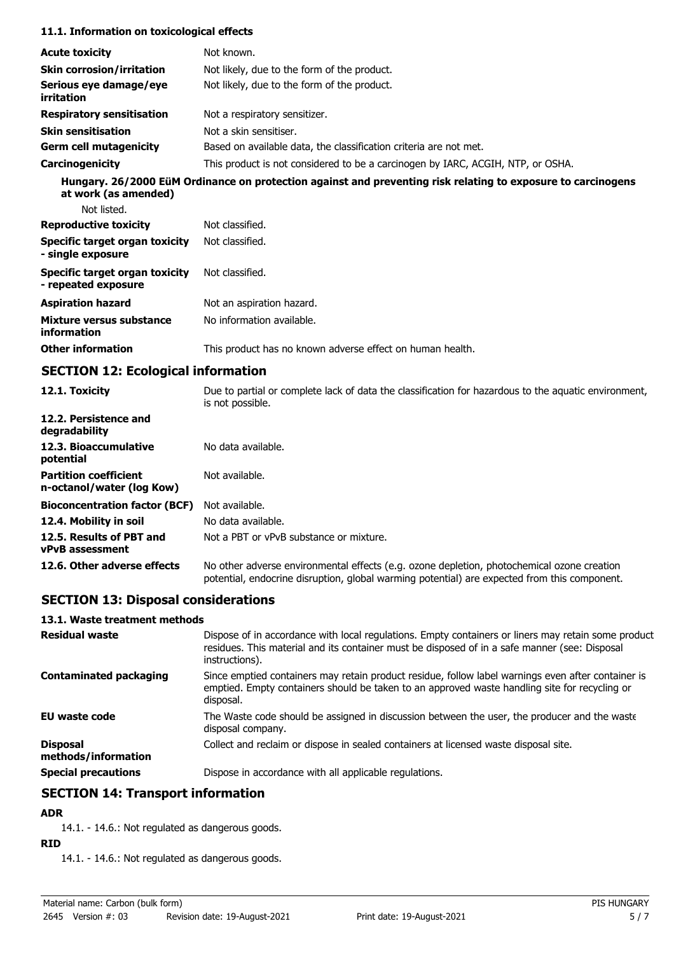#### **11.1. Information on toxicological effects**

| <b>Acute toxicity</b>                                        | Not known.                                                                                                               |
|--------------------------------------------------------------|--------------------------------------------------------------------------------------------------------------------------|
| <b>Skin corrosion/irritation</b>                             | Not likely, due to the form of the product.                                                                              |
| Serious eye damage/eye<br>irritation                         | Not likely, due to the form of the product.                                                                              |
| <b>Respiratory sensitisation</b>                             | Not a respiratory sensitizer.                                                                                            |
| <b>Skin sensitisation</b>                                    | Not a skin sensitiser.                                                                                                   |
| <b>Germ cell mutagenicity</b>                                | Based on available data, the classification criteria are not met.                                                        |
| Carcinogenicity                                              | This product is not considered to be a carcinogen by IARC, ACGIH, NTP, or OSHA.                                          |
| at work (as amended)<br>Not listed.                          | Hungary. 26/2000 EüM Ordinance on protection against and preventing risk relating to exposure to carcinogens             |
| <b>Reproductive toxicity</b>                                 | Not classified.                                                                                                          |
| <b>Specific target organ toxicity</b><br>- single exposure   | Not classified.                                                                                                          |
| <b>Specific target organ toxicity</b><br>- repeated exposure | Not classified.                                                                                                          |
| <b>Aspiration hazard</b>                                     | Not an aspiration hazard.                                                                                                |
| Mixture versus substance<br>information                      | No information available.                                                                                                |
| <b>Other information</b>                                     | This product has no known adverse effect on human health.                                                                |
| <b>SECTION 12: Ecological information</b>                    |                                                                                                                          |
| 12.1. Toxicity                                               | Due to partial or complete lack of data the classification for hazardous to the aquatic environment,<br>is not possible. |

|                                                           | is not possible.                                                                                                                                                                           |
|-----------------------------------------------------------|--------------------------------------------------------------------------------------------------------------------------------------------------------------------------------------------|
| 12.2. Persistence and<br>degradability                    |                                                                                                                                                                                            |
| 12.3. Bioaccumulative<br>potential                        | No data available.                                                                                                                                                                         |
| <b>Partition coefficient</b><br>n-octanol/water (log Kow) | Not available.                                                                                                                                                                             |
| <b>Bioconcentration factor (BCF)</b>                      | Not available.                                                                                                                                                                             |
| 12.4. Mobility in soil                                    | No data available.                                                                                                                                                                         |
| 12.5. Results of PBT and<br><b>vPvB</b> assessment        | Not a PBT or vPvB substance or mixture.                                                                                                                                                    |
| 12.6. Other adverse effects                               | No other adverse environmental effects (e.g. ozone depletion, photochemical ozone creation<br>potential, endocrine disruption, global warming potential) are expected from this component. |

# **SECTION 13: Disposal considerations**

## **13.1. Waste treatment methods**

| <b>Residual waste</b>                  | Dispose of in accordance with local regulations. Empty containers or liners may retain some product<br>residues. This material and its container must be disposed of in a safe manner (see: Disposal<br>instructions). |
|----------------------------------------|------------------------------------------------------------------------------------------------------------------------------------------------------------------------------------------------------------------------|
| <b>Contaminated packaging</b>          | Since emptied containers may retain product residue, follow label warnings even after container is<br>emptied. Empty containers should be taken to an approved waste handling site for recycling or<br>disposal.       |
| <b>EU waste code</b>                   | The Waste code should be assigned in discussion between the user, the producer and the waste<br>disposal company.                                                                                                      |
| <b>Disposal</b><br>methods/information | Collect and reclaim or dispose in sealed containers at licensed waste disposal site.                                                                                                                                   |
| <b>Special precautions</b>             | Dispose in accordance with all applicable regulations.                                                                                                                                                                 |

# **SECTION 14: Transport information**

# **ADR**

14.1. - 14.6.: Not regulated as dangerous goods.

### **RID**

14.1. - 14.6.: Not regulated as dangerous goods.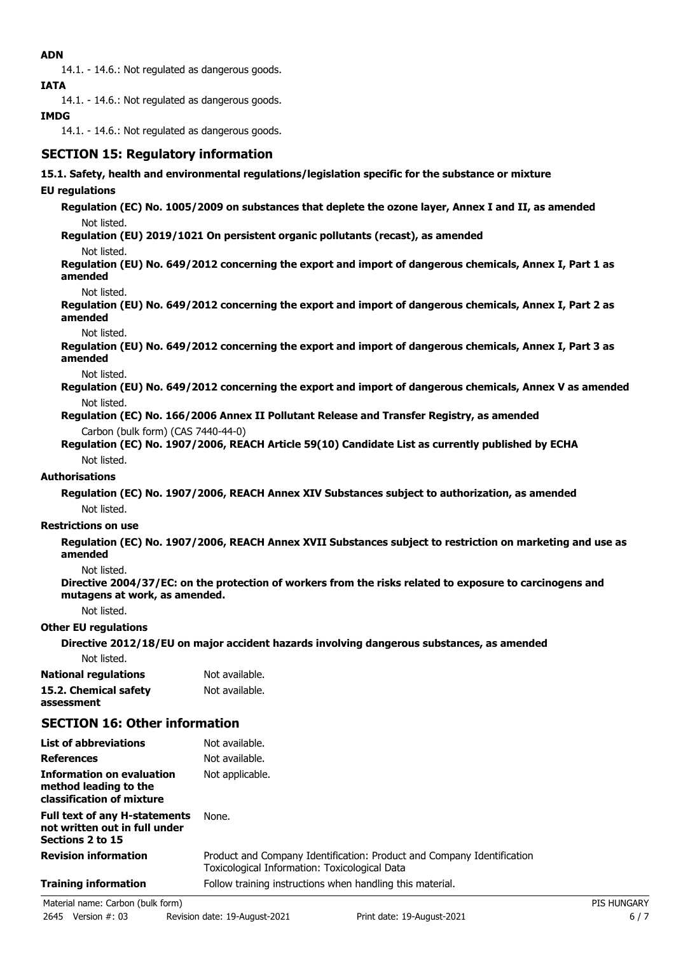### **ADN**

14.1. - 14.6.: Not regulated as dangerous goods.

**IATA**

14.1. - 14.6.: Not regulated as dangerous goods.

### **IMDG**

14.1. - 14.6.: Not regulated as dangerous goods.

# **SECTION 15: Regulatory information**

### **15.1. Safety, health and environmental regulations/legislation specific for the substance or mixture**

### **EU regulations**

**Regulation (EC) No. 1005/2009 on substances that deplete the ozone layer, Annex I and II, as amended** Not listed.

**Regulation (EU) 2019/1021 On persistent organic pollutants (recast), as amended**

Not listed.

**Regulation (EU) No. 649/2012 concerning the export and import of dangerous chemicals, Annex I, Part 1 as amended**

Not listed.

**Regulation (EU) No. 649/2012 concerning the export and import of dangerous chemicals, Annex I, Part 2 as amended**

Not listed.

**Regulation (EU) No. 649/2012 concerning the export and import of dangerous chemicals, Annex I, Part 3 as amended**

Not listed.

**Regulation (EU) No. 649/2012 concerning the export and import of dangerous chemicals, Annex V as amended** Not listed.

**Regulation (EC) No. 166/2006 Annex II Pollutant Release and Transfer Registry, as amended** Carbon (bulk form) (CAS 7440-44-0)

**Regulation (EC) No. 1907/2006, REACH Article 59(10) Candidate List as currently published by ECHA** Not listed.

### **Authorisations**

**Regulation (EC) No. 1907/2006, REACH Annex XIV Substances subject to authorization, as amended** Not listed.

### **Restrictions on use**

**Regulation (EC) No. 1907/2006, REACH Annex XVII Substances subject to restriction on marketing and use as amended**

Not listed.

**Directive 2004/37/EC: on the protection of workers from the risks related to exposure to carcinogens and mutagens at work, as amended.**

Not listed.

### **Other EU regulations**

**Directive 2012/18/EU on major accident hazards involving dangerous substances, as amended**

Not listed.

**National regulations** Not available. **15.2. Chemical safety** Not available. **assessment**

# **SECTION 16: Other information**

| List of abbreviations                                                              | Not available.                                                                                                          |
|------------------------------------------------------------------------------------|-------------------------------------------------------------------------------------------------------------------------|
| <b>References</b>                                                                  | Not available.                                                                                                          |
| Information on evaluation<br>method leading to the<br>classification of mixture    | Not applicable.                                                                                                         |
| Full text of any H-statements<br>not written out in full under<br>Sections 2 to 15 | None.                                                                                                                   |
| <b>Revision information</b>                                                        | Product and Company Identification: Product and Company Identification<br>Toxicological Information: Toxicological Data |
| <b>Training information</b>                                                        | Follow training instructions when handling this material.                                                               |